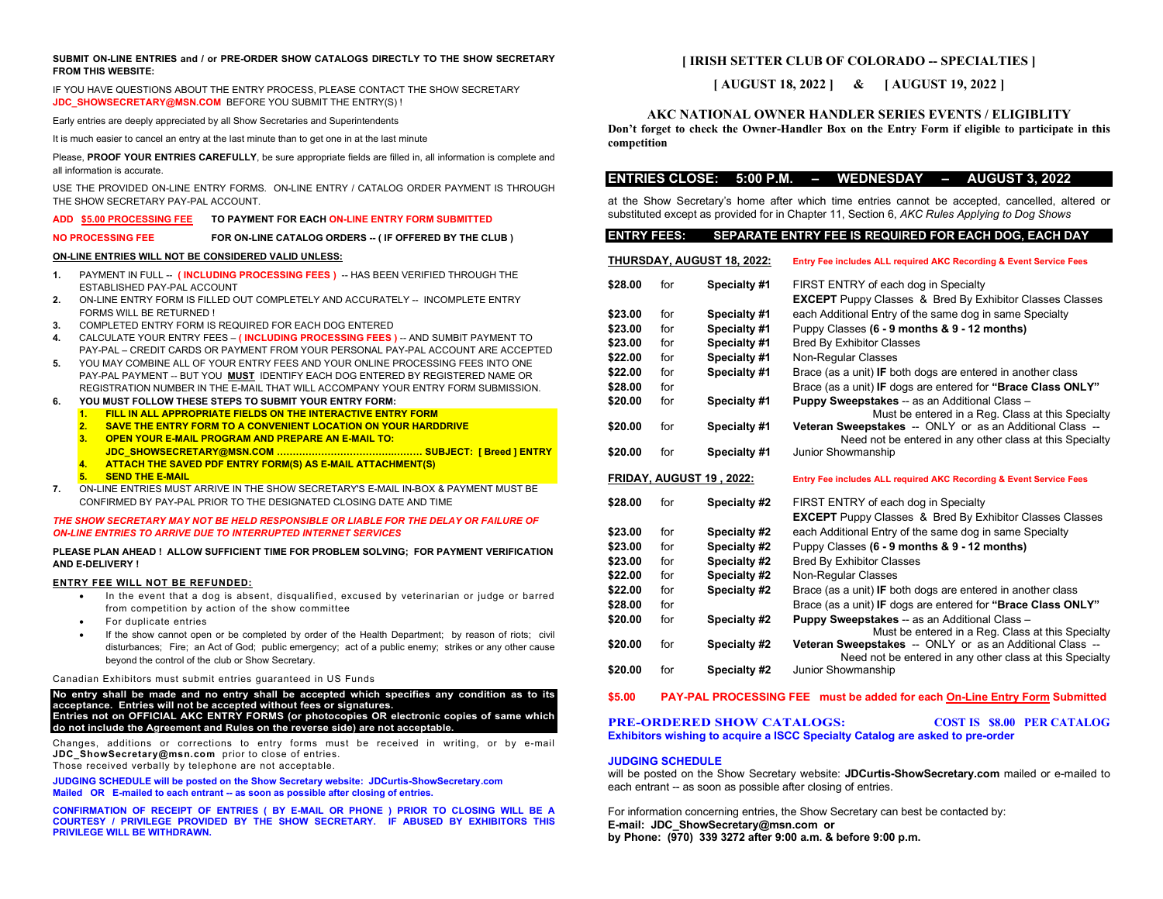#### **SUBMIT ON-LINE ENTRIES and / or PRE-ORDER SHOW CATALOGS DIRECTLY TO THE SHOW SECRETARY FROM THIS WEBSITE:**

IF YOU HAVE QUESTIONS ABOUT THE ENTRY PROCESS, PLEASE CONTACT THE SHOW SECRETARY **[JDC\\_SHOWSECRETARY@MSN.COM](mailto:JDC_SHOWSECRETARY@MSN.COM)** BEFORE YOU SUBMIT THE ENTRY(S) !

Early entries are deeply appreciated by all Show Secretaries and Superintendents

It is much easier to cancel an entry at the last minute than to get one in at the last minute

Please, **PROOF YOUR ENTRIES CAREFULLY**, be sure appropriate fields are filled in, all information is complete and all information is accurate.

USE THE PROVIDED ON-LINE ENTRY FORMS. ON-LINE ENTRY / CATALOG ORDER PAYMENT IS THROUGH THE SHOW SECRETARY PAY-PAL ACCOUNT.

# **ADD \$5.00 PROCESSING FEE TO PAYMENT FOR EACH ON-LINE ENTRY FORM SUBMITTED**

**NO PROCESSING FEE FOR ON-LINE CATALOG ORDERS -- ( IF OFFERED BY THE CLUB )** 

### **ON-LINE ENTRIES WILL NOT BE CONSIDERED VALID UNLESS:**

- **1.** PAYMENT IN FULL -- **( INCLUDING PROCESSING FEES )** -- HAS BEEN VERIFIED THROUGH THE ESTABLISHED PAY-PAL ACCOUNT
- **2.** ON-LINE ENTRY FORM IS FILLED OUT COMPLETELY AND ACCURATELY -- INCOMPLETE ENTRY FORMS WILL BE RETURNED !
- **3.** COMPLETED ENTRY FORM IS REQUIRED FOR EACH DOG ENTERED
- **4.** CALCULATE YOUR ENTRY FEES **( INCLUDING PROCESSING FEES )** -- AND SUMBIT PAYMENT TO PAY-PAL – CREDIT CARDS OR PAYMENT FROM YOUR PERSONAL PAY-PAL ACCOUNT ARE ACCEPTED
- **5.** YOU MAY COMBINE ALL OF YOUR ENTRY FEES AND YOUR ONLINE PROCESSING FEES INTO ONE PAY-PAL PAYMENT -- BUT YOU **MUST** IDENTIFY EACH DOG ENTERED BY REGISTERED NAME OR REGISTRATION NUMBER IN THE E-MAIL THAT WILL ACCOMPANY YOUR ENTRY FORM SUBMISSION.
- **6. YOU MUST FOLLOW THESE STEPS TO SUBMIT YOUR ENTRY FORM:**
	- **1. FILL IN ALL APPROPRIATE FIELDS ON THE INTERACTIVE ENTRY FORM**
	- **2. SAVE THE ENTRY FORM TO A CONVENIENT LOCATION ON YOUR HARDDRIVE**
	- **3. OPEN YOUR E-MAIL PROGRAM AND PREPARE AN E-MAIL TO:**
	- **JDC\_SHOWSECRETARY@MSN.COM ……………………………….……… SUBJECT: [ Breed ] ENTRY 4. ATTACH THE SAVED PDF ENTRY FORM(S) AS E-MAIL ATTACHMENT(S)**
	- **5. SEND THE E-MAIL**
- **7.** ON-LINE ENTRIES MUST ARRIVE IN THE SHOW SECRETARY'S E-MAIL IN-BOX & PAYMENT MUST BE CONFIRMED BY PAY-PAL PRIOR TO THE DESIGNATED CLOSING DATE AND TIME

#### *THE SHOW SECRETARY MAY NOT BE HELD RESPONSIBLE OR LIABLE FOR THE DELAY OR FAILURE OF ON-LINE ENTRIES TO ARRIVE DUE TO INTERRUPTED INTERNET SERVICES*

### **PLEASE PLAN AHEAD ! ALLOW SUFFICIENT TIME FOR PROBLEM SOLVING; FOR PAYMENT VERIFICATION AND E-DELIVERY !**

### **ENTRY FEE WILL NOT BE REFUNDED:**

- In the event that a dog is absent, disqualified, excused by veterinarian or judge or barred from competition by action of the show committee
- For duplicate entries
- If the show cannot open or be completed by order of the Health Department; by reason of riots; civil disturbances;Fire; an Act of God; public emergency; act of a public enemy; strikes or any other cause beyond the control of the club or Show Secretary.

### Canadian Exhibitors must submit entries guaranteed in US Funds

**No entry shall be made and no entry shall be accepted which specifies any condition as to its acceptance. Entries will not be accepted without fees or signatures. Entries not on OFFICIAL AKC ENTRY FORMS (or photocopies OR electronic copies of same which do not include the Agreement and Rules on the reverse side) are not acceptable.**

Changes, additions or corrections to entry forms must be received in writing, or by e-mail **[JDC\\_ShowSecretary@msn.com](mailto:JDC_ShowSecretary@msn.com)** prior to close of entries. Those received verbally by telephone are not acceptable.

**JUDGING SCHEDULE will be posted on the Show Secretary website: JDCurtis-ShowSecretary.com Mailed OR E-mailed to each entrant -- as soon as possible after closing of entries.**

**CONFIRMATION OF RECEIPT OF ENTRIES ( BY E-MAIL OR PHONE ) PRIOR TO CLOSING WILL BE A COURTESY / PRIVILEGE PROVIDED BY THE SHOW SECRETARY. IF ABUSED BY EXHIBITORS THIS PRIVILEGE WILL BE WITHDRAWN.**

# **[ IRISH SETTER CLUB OF COLORADO -- SPECIALTIES ]**

# **[ AUGUST 18, 2022 ] & [ AUGUST 19, 2022 ]**

# **AKC NATIONAL OWNER HANDLER SERIES EVENTS / ELIGIBLITY**

**Don't forget to check the Owner-Handler Box on the Entry Form if eligible to participate in this competition**

# **ENTRIES CLOSE: 5:00 P.M. – WEDNESDAY – AUGUST 3, 2022**

at the Show Secretary's home after which time entries cannot be accepted, cancelled, altered or substituted except as provided for in Chapter 11, Section 6, *AKC Rules Applying to Dog Shows*

## **ENTRY FEES: SEPARATE ENTRY FEE IS REQUIRED FOR EACH DOG, EACH DAY**

| THURSDAY, AUGUST 18, 2022:      |     |              | <b>Entry Fee includes ALL required AKC Recording &amp; Event Service Fees</b>                                        |  |  |  |  |  |  |
|---------------------------------|-----|--------------|----------------------------------------------------------------------------------------------------------------------|--|--|--|--|--|--|
| \$28.00                         | for | Specialty #1 | FIRST ENTRY of each dog in Specialty                                                                                 |  |  |  |  |  |  |
|                                 |     |              | <b>EXCEPT</b> Puppy Classes & Bred By Exhibitor Classes Classes                                                      |  |  |  |  |  |  |
| \$23.00                         | for | Specialty #1 | each Additional Entry of the same dog in same Specialty                                                              |  |  |  |  |  |  |
| \$23.00                         | for | Specialty #1 | Puppy Classes (6 - 9 months & 9 - 12 months)                                                                         |  |  |  |  |  |  |
| \$23.00                         | for | Specialty #1 | <b>Bred By Exhibitor Classes</b>                                                                                     |  |  |  |  |  |  |
| \$22.00                         | for | Specialty #1 | Non-Regular Classes                                                                                                  |  |  |  |  |  |  |
| \$22.00                         | for | Specialty #1 | Brace (as a unit) IF both dogs are entered in another class                                                          |  |  |  |  |  |  |
| \$28.00                         | for |              | Brace (as a unit) IF dogs are entered for "Brace Class ONLY"                                                         |  |  |  |  |  |  |
| \$20.00                         | for | Specialty #1 | <b>Puppy Sweepstakes -- as an Additional Class --</b><br>Must be entered in a Reg. Class at this Specialty           |  |  |  |  |  |  |
| \$20.00                         | for | Specialty #1 | Veteran Sweepstakes -- ONLY or as an Additional Class --<br>Need not be entered in any other class at this Specialty |  |  |  |  |  |  |
| \$20.00                         | for | Specialty #1 | Junior Showmanship                                                                                                   |  |  |  |  |  |  |
| <b>FRIDAY, AUGUST 19, 2022:</b> |     |              |                                                                                                                      |  |  |  |  |  |  |
|                                 |     |              | Entry Fee includes ALL required AKC Recording & Event Service Fees                                                   |  |  |  |  |  |  |
| \$28.00                         | for | Specialty #2 | FIRST ENTRY of each dog in Specialty                                                                                 |  |  |  |  |  |  |
|                                 |     |              | <b>EXCEPT</b> Puppy Classes & Bred By Exhibitor Classes Classes                                                      |  |  |  |  |  |  |
| \$23.00                         | for | Specialty #2 | each Additional Entry of the same dog in same Specialty                                                              |  |  |  |  |  |  |
| \$23.00                         | for | Specialty #2 | Puppy Classes (6 - 9 months & 9 - 12 months)                                                                         |  |  |  |  |  |  |
| \$23.00                         | for | Specialty #2 | <b>Bred By Exhibitor Classes</b>                                                                                     |  |  |  |  |  |  |
| \$22.00                         | for | Specialty #2 | Non-Regular Classes                                                                                                  |  |  |  |  |  |  |
| \$22.00                         | for | Specialty #2 | Brace (as a unit) IF both dogs are entered in another class                                                          |  |  |  |  |  |  |
| \$28.00                         | for |              | Brace (as a unit) IF dogs are entered for "Brace Class ONLY"                                                         |  |  |  |  |  |  |
| \$20.00                         | for | Specialty #2 | <b>Puppy Sweepstakes -- as an Additional Class --</b><br>Must be entered in a Reg. Class at this Specialty           |  |  |  |  |  |  |
| \$20.00                         | for | Specialty #2 | Veteran Sweepstakes -- ONLY or as an Additional Class --<br>Need not be entered in any other class at this Specialty |  |  |  |  |  |  |

**\$5.00 PAY-PAL PROCESSING FEE must be added for each On-Line Entry Form Submitted**

### **PRE-ORDERED SHOW CATALOGS: COST IS \$8.00 PER CATALOG Exhibitors wishing to acquire a ISCC Specialty Catalog are asked to pre-order**

# **JUDGING SCHEDULE**

will be posted on the Show Secretary website: **JDCurtis-ShowSecretary.com** mailed or e-mailed to each entrant -- as soon as possible after closing of entries.

For information concerning entries, the Show Secretary can best be contacted by: **E-mail: JDC\_ShowSecretary@msn.com or by Phone: (970) 339 3272 after 9:00 a.m. & before 9:00 p.m.**